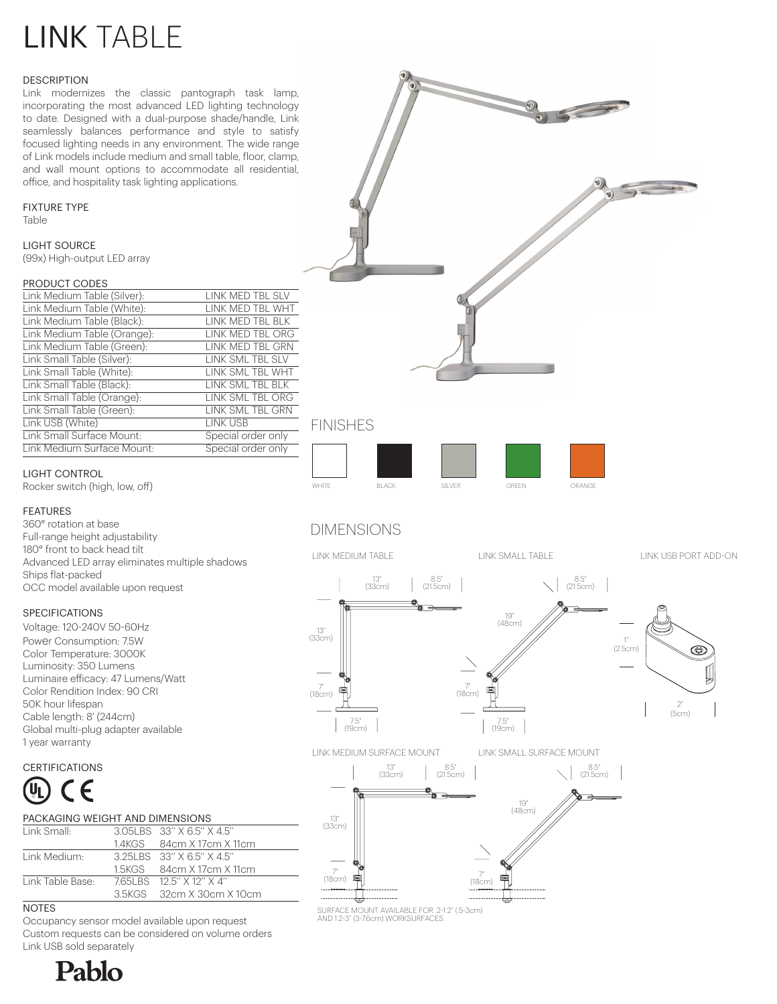# LINK TABLE

#### **DESCRIPTION**

Link modernizes the classic pantograph task lamp, incorporating the most advanced LED lighting technology to date. Designed with a dual-purpose shade/handle, Link seamlessly balances performance and style to satisfy focused lighting needs in any environment. The wide range of Link models include medium and small table, floor, clamp, and wall mount options to accommodate all residential, office, and hospitality task lighting applications.

#### FIXTURE TYPE

Table

LIGHT SOURCE (99x) High-output LED array

#### PRODUCT CODES

| Link Medium Table (Silver): | LINK MED TBL SLV   |
|-----------------------------|--------------------|
| Link Medium Table (White):  | LINK MED TBL WHT   |
| Link Medium Table (Black):  | LINK MED TBL BLK   |
| Link Medium Table (Orange): | LINK MED TBL ORG   |
| Link Medium Table (Green):  | LINK MED TBL GRN   |
| Link Small Table (Silver):  | LINK SML TBL SLV   |
| Link Small Table (White):   | LINK SML TBL WHT   |
| Link Small Table (Black):   | LINK SML TBL BLK   |
| Link Small Table (Orange):  | LINK SML TBL ORG   |
| Link Small Table (Green):   | LINK SML TBL GRN   |
| Link USB (White)            | <b>I INK USB</b>   |
| Link Small Surface Mount:   | Special order only |
| Link Medium Surface Mount:  | Special order only |
|                             |                    |



## FINISHES



Rocker switch (high, low, off)

#### FEATURES

360° rotation at base Full-range height adjustability 180° front to back head tilt Advanced LED array eliminates multiple shadows Ships flat-packed OCC model available upon request

#### SPECIFICATIONS

Voltage: 120-240V 50-60Hz Power Consumption: 7.5W Color Temperature: 3000K Luminosity: 350 Lumens Luminaire efficacy: 47 Lumens/Watt Color Rendition Index: 90 CRI 50K hour lifespan Cable length: 8' (244cm) Global multi-plug adapter available 1 year warranty

### **CERTIFICATIONS**



| PACKAGING WEIGHT AND DIMENSIONS |                     |                        |
|---------------------------------|---------------------|------------------------|
| Link Small:                     |                     | 305LBS 33" X 65" X 45" |
|                                 | 1.11/ $\cap$ $\cap$ | $0.1 - 1$ $1.7 - 1.1$  |

|                  | 14KGS 84cm X 17cm X 11cm    |
|------------------|-----------------------------|
| Link Medium:     | 3.25 BS 33" X 6.5" X 4.5"   |
|                  | 1.5KGS 84cm X 17cm X 11cm   |
| Link Table Base: | 765LBS 125" X 12" X 4"      |
|                  | 3.5KGS - 32cm X 30cm X 10cm |
|                  |                             |

NOTES

Occupancy sensor model available upon request Custom requests can be considered on volume orders Link USB sold separately





# DIMENSIONS





SURFACE MOUNT AVAILABLE FOR .2-1.2" (.5-3cm) AND 1.2-3" (3-7.6cm) WORKSURFACES

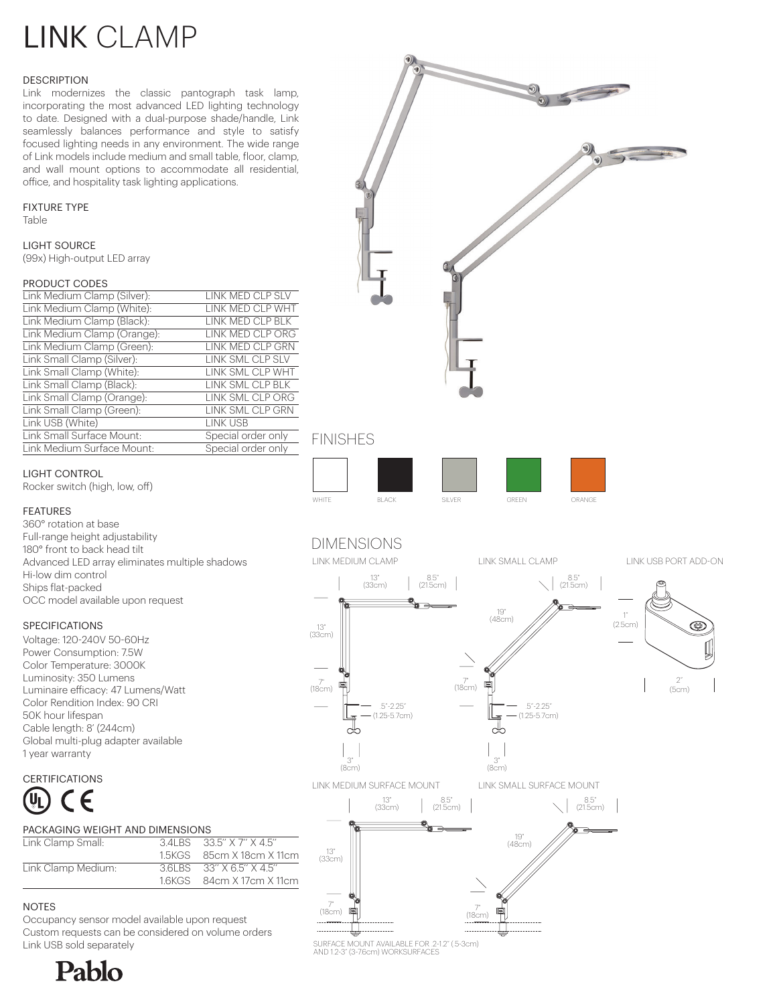# LINK CLAMP

#### **DESCRIPTION**

Link modernizes the classic pantograph task lamp, incorporating the most advanced LED lighting technology to date. Designed with a dual-purpose shade/handle, Link seamlessly balances performance and style to satisfy focused lighting needs in any environment. The wide range of Link models include medium and small table, floor, clamp, and wall mount options to accommodate all residential, office, and hospitality task lighting applications.

#### FIXTURE TYPE

Table

LIGHT SOURCE (99x) High-output LED array

#### PRODUCT CODES

| LINK MED CLP SLV   |
|--------------------|
| LINK MED CLP WHT   |
| LINK MED CLP BLK   |
| LINK MED CLP ORG   |
| LINK MED CLP GRN   |
| LINK SML CLP SLV   |
| LINK SML CLP WHT   |
| LINK SML CLP BLK   |
| LINK SML CLP ORG   |
| LINK SML CLP GRN   |
| LINK USB           |
| Special order only |
| Special order only |
|                    |



## FINISHES



## LIGHT CONTROL

Rocker switch (high, low, off)

#### FEATURES

360° rotation at base Full-range height adjustability 180° front to back head tilt Advanced LED array eliminates multiple shadows Hi-low dim control Ships flat-packed OCC model available upon request

#### **SPECIFICATIONS**

Voltage: 120-240V 50-60Hz Power Consumption: 7.5W Color Temperature: 3000K Luminosity: 350 Lumens Luminaire efficacy: 47 Lumens/Watt Color Rendition Index: 90 CRI 50K hour lifespan Cable length: 8' (244cm) Global multi-plug adapter available 1 year warranty

### **CERTIFICATIONS**



# PACKAGING WEIGHT AND DIMENSIONS Link Clamp Small: 3.4LBS 33.5'' X 7'' X 4.5''

|                    | 1.5KGS 85cm X 18cm X 11cm |
|--------------------|---------------------------|
| Link Clamp Medium: | 3.6 BS 33" X 6.5" X 4.5"  |
|                    | 1.6KGS 84cm X 17cm X 11cm |
|                    |                           |

## NOTES

Occupancy sensor model available upon request Custom requests can be considered on volume orders Link USB sold separately



SURFACE MOUNT AVAILABLE FOR .2-1.2" (.5-3cm) AND 1.2-3" (3-7.6cm) WORKSURFACES

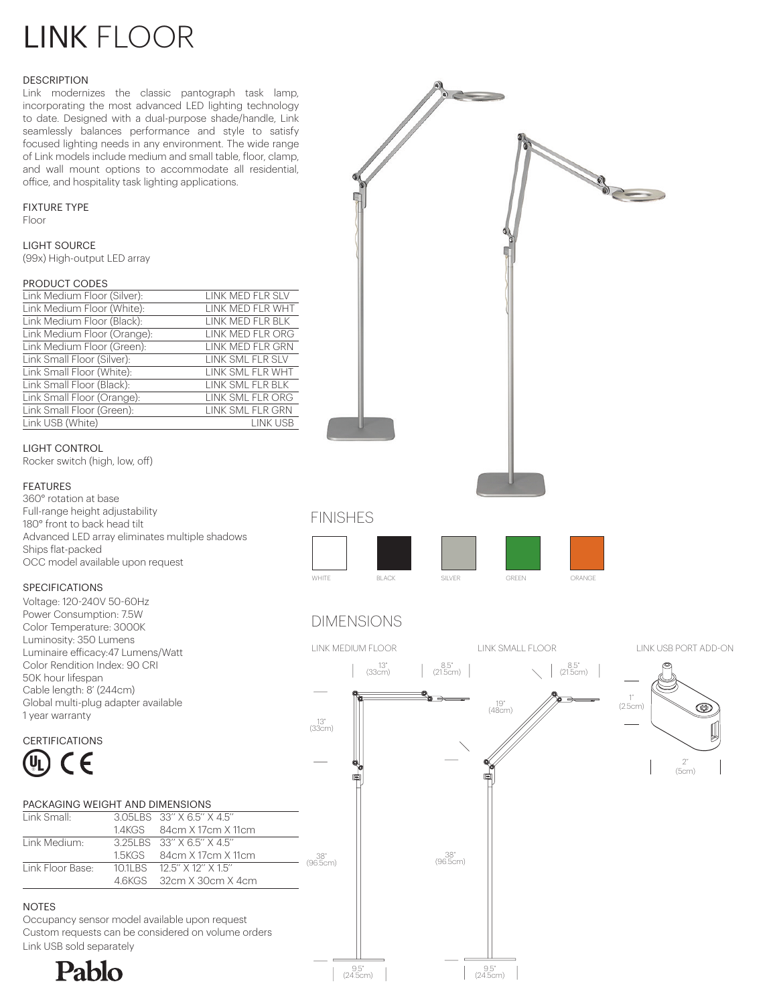# LINK FLOOR

#### **DESCRIPTION**

Link modernizes the classic pantograph task lamp, incorporating the most advanced LED lighting technology to date. Designed with a dual-purpose shade/handle, Link seamlessly balances performance and style to satisfy focused lighting needs in any environment. The wide range of Link models include medium and small table, floor, clamp, and wall mount options to accommodate all residential, office, and hospitality task lighting applications.

#### FIXTURE TYPE

Floor

LIGHT SOURCE (99x) High-output LED array

#### PRODUCT CODES

| Link Medium Floor (Silver): | LINK MED FLR SLV        |
|-----------------------------|-------------------------|
| Link Medium Floor (White):  | LINK MED FLR WHT        |
| Link Medium Floor (Black):  | LINK MED FLR BLK        |
| Link Medium Floor (Orange): | <b>LINK MED FLR ORG</b> |
| Link Medium Floor (Green):  | LINK MED FLR GRN        |
| Link Small Floor (Silver):  | LINK SML FLR SLV        |
| Link Small Floor (White):   | LINK SML FLR WHT        |
| Link Small Floor (Black):   | LINK SML FLR BLK        |
| Link Small Floor (Orange):  | LINK SML FLR ORG        |
| Link Small Floor (Green):   | LINK SML FLR GRN        |
| Link USB (White)            | <b>LINK USB</b>         |

#### LIGHT CONTROL

Rocker switch (high, low, off)

#### FEATURES

360° rotation at base Full-range height adjustability 180° front to back head tilt Advanced LED array eliminates multiple shadows Ships flat-packed OCC model available upon request

#### SPECIFICATIONS

Voltage: 120-240V 50-60Hz Power Consumption: 7.5W Color Temperature: 3000K Luminosity: 350 Lumens Luminaire efficacy:47 Lumens/Watt Color Rendition Index: 90 CRI 50K hour lifespan Cable length: 8' (244cm) Global multi-plug adapter available 1 year warranty

### **CERTIFICATIONS**



#### PACKAGING WEIGHT AND DIMENSIONS

| Link Small <sub>t</sub>  | $3.051$ BS $33''$ X 6.5" X 4.5" |                |
|--------------------------|---------------------------------|----------------|
|                          | 1.4KGS 84cm X 17cm X 11cm       |                |
| Link Medium <sup>.</sup> | 3.25 BS 33" X 6.5" X 4.5"       |                |
|                          | 1.5KGS 84cm X 17cm X 11cm       | "38<br>96.5cr) |
| Link Floor Base:         | 101LBS 12.5" X 12" X 15"        |                |
|                          | 4.6KGS 32cm X 30cm X 4cm        |                |

### **NOTES**

Occupancy sensor model available upon request Custom requests can be considered on volume orders Link USB sold separately





G